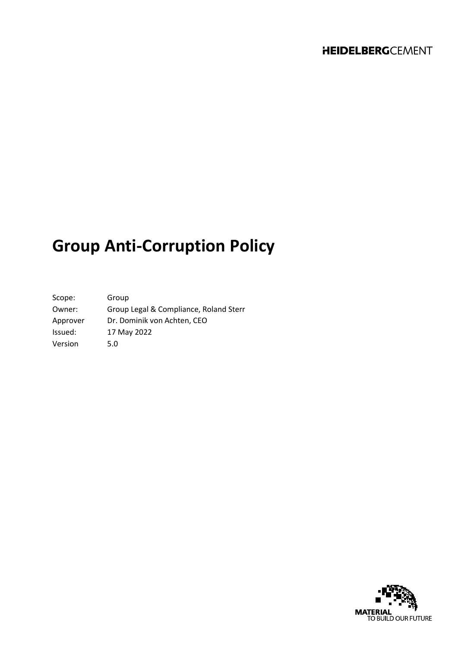# **Group Anti-Corruption Policy**

| Scope:   | Group                                  |
|----------|----------------------------------------|
| Owner:   | Group Legal & Compliance, Roland Sterr |
| Approver | Dr. Dominik von Achten, CEO            |
| Issued:  | 17 May 2022                            |
| Version  | 5.0                                    |

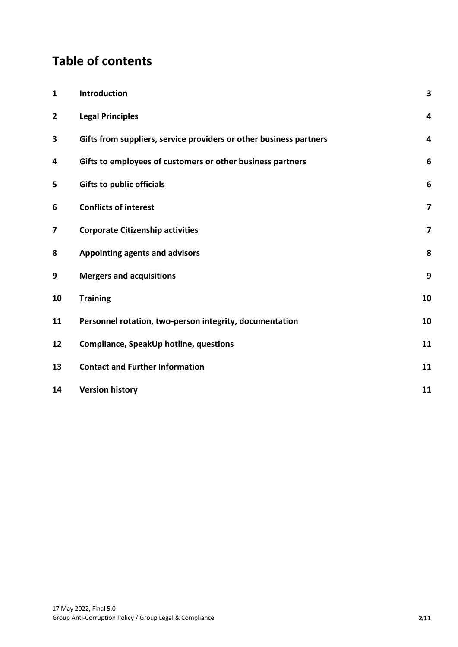# **Table of contents**

| $\mathbf{1}$   | Introduction                                                       | $\overline{\mathbf{3}}$ |
|----------------|--------------------------------------------------------------------|-------------------------|
| $\overline{2}$ | <b>Legal Principles</b>                                            | 4                       |
| 3              | Gifts from suppliers, service providers or other business partners | 4                       |
| 4              | Gifts to employees of customers or other business partners         | 6                       |
| 5              | <b>Gifts to public officials</b>                                   | $6\phantom{1}6$         |
| 6              | <b>Conflicts of interest</b>                                       | $\overline{\mathbf{z}}$ |
| 7              | <b>Corporate Citizenship activities</b>                            | $\overline{\mathbf{z}}$ |
| 8              | Appointing agents and advisors                                     | 8                       |
| 9              | <b>Mergers and acquisitions</b>                                    | 9                       |
| 10             | <b>Training</b>                                                    | 10                      |
| 11             | Personnel rotation, two-person integrity, documentation            | 10                      |
| 12             | Compliance, SpeakUp hotline, questions                             | 11                      |
| 13             | <b>Contact and Further Information</b>                             | 11                      |
| 14             | <b>Version history</b>                                             | 11                      |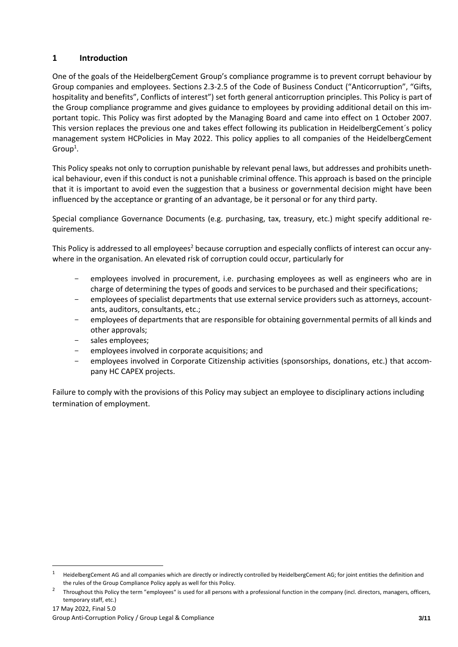## <span id="page-2-0"></span>**1 Introduction**

One of the goals of the HeidelbergCement Group's compliance programme is to prevent corrupt behaviour by Group companies and employees. Sections 2.3-2.5 of the Code of Business Conduct ("Anticorruption", "Gifts, hospitality and benefits", Conflicts of interest") set forth general anticorruption principles. This Policy is part of the Group compliance programme and gives guidance to employees by providing additional detail on this important topic. This Policy was first adopted by the Managing Board and came into effect on 1 October 2007. This version replaces the previous one and takes effect following its publication in HeidelbergCement´s policy management system HCPolicies in May 2022. This policy applies to all companies of the HeidelbergCement  $Group<sup>1</sup>.$ 

This Policy speaks not only to corruption punishable by relevant penal laws, but addresses and prohibits unethical behaviour, even if this conduct is not a punishable criminal offence. This approach is based on the principle that it is important to avoid even the suggestion that a business or governmental decision might have been influenced by the acceptance or granting of an advantage, be it personal or for any third party.

Special compliance Governance Documents (e.g. purchasing, tax, treasury, etc.) might specify additional requirements.

This Policy is addressed to all employees<sup>2</sup> because corruption and especially conflicts of interest can occur anywhere in the organisation. An elevated risk of corruption could occur, particularly for

- employees involved in procurement, i.e. purchasing employees as well as engineers who are in charge of determining the types of goods and services to be purchased and their specifications;
- employees of specialist departments that use external service providers such as attorneys, accountants, auditors, consultants, etc.;
- employees of departments that are responsible for obtaining governmental permits of all kinds and other approvals;
- sales employees;
- employees involved in corporate acquisitions; and
- employees involved in Corporate Citizenship activities (sponsorships, donations, etc.) that accompany HC CAPEX projects.

Failure to comply with the provisions of this Policy may subject an employee to disciplinary actions including termination of employment.

 $1$  HeidelbergCement AG and all companies which are directly or indirectly controlled by HeidelbergCement AG; for joint entities the definition and the rules of the Group Compliance Policy apply as well for this Policy.

<sup>2</sup> Throughout this Policy the term "employees" is used for all persons with a professional function in the company (incl. directors, managers, officers, temporary staff, etc.)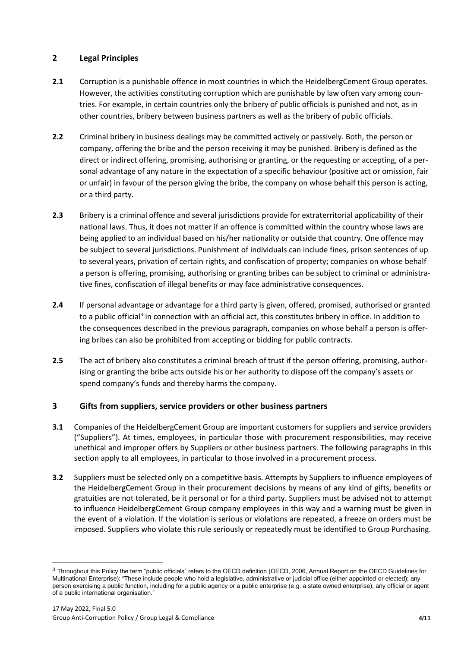# <span id="page-3-0"></span>**2 Legal Principles**

- **2.1** Corruption is a punishable offence in most countries in which the HeidelbergCement Group operates. However, the activities constituting corruption which are punishable by law often vary among countries. For example, in certain countries only the bribery of public officials is punished and not, as in other countries, bribery between business partners as well as the bribery of public officials.
- **2.2** Criminal bribery in business dealings may be committed actively or passively. Both, the person or company, offering the bribe and the person receiving it may be punished. Bribery is defined as the direct or indirect offering, promising, authorising or granting, or the requesting or accepting, of a personal advantage of any nature in the expectation of a specific behaviour (positive act or omission, fair or unfair) in favour of the person giving the bribe, the company on whose behalf this person is acting, or a third party.
- **2.3** Bribery is a criminal offence and several jurisdictions provide for extraterritorial applicability of their national laws. Thus, it does not matter if an offence is committed within the country whose laws are being applied to an individual based on his/her nationality or outside that country. One offence may be subject to several jurisdictions. Punishment of individuals can include fines, prison sentences of up to several years, privation of certain rights, and confiscation of property; companies on whose behalf a person is offering, promising, authorising or granting bribes can be subject to criminal or administrative fines, confiscation of illegal benefits or may face administrative consequences.
- **2.4** If personal advantage or advantage for a third party is given, offered, promised, authorised or granted to a public official<sup>3</sup> in connection with an official act, this constitutes bribery in office. In addition to the consequences described in the previous paragraph, companies on whose behalf a person is offering bribes can also be prohibited from accepting or bidding for public contracts.
- **2.5** The act of bribery also constitutes a criminal breach of trust if the person offering, promising, authorising or granting the bribe acts outside his or her authority to dispose off the company's assets or spend company's funds and thereby harms the company.

# <span id="page-3-1"></span>**3 Gifts from suppliers, service providers or other business partners**

- **3.1** Companies of the HeidelbergCement Group are important customers for suppliers and service providers ("Suppliers"). At times, employees, in particular those with procurement responsibilities, may receive unethical and improper offers by Suppliers or other business partners. The following paragraphs in this section apply to all employees, in particular to those involved in a procurement process.
- **3.2** Suppliers must be selected only on a competitive basis. Attempts by Suppliers to influence employees of the HeidelbergCement Group in their procurement decisions by means of any kind of gifts, benefits or gratuities are not tolerated, be it personal or for a third party. Suppliers must be advised not to attempt to influence HeidelbergCement Group company employees in this way and a warning must be given in the event of a violation. If the violation is serious or violations are repeated, a freeze on orders must be imposed. Suppliers who violate this rule seriously or repeatedly must be identified to Group Purchasing.

<sup>3</sup> Throughout this Policy the term "public officials" refers to the OECD definition (OECD, 2006, Annual Report on the OECD Guidelines for Multinational Enterprise): "These include people who hold a legislative, administrative or judicial office (either appointed or elected); any person exercising a public function, including for a public agency or a public enterprise (e.g. a state owned enterprise); any official or agent of a public international organisation."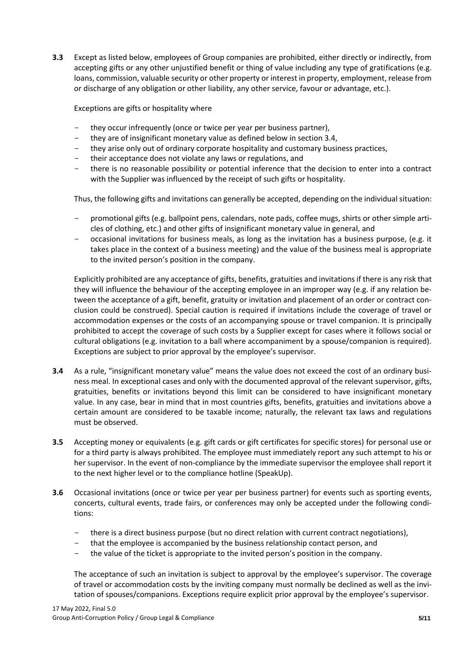**3.3** Except as listed below, employees of Group companies are prohibited, either directly or indirectly, from accepting gifts or any other unjustified benefit or thing of value including any type of gratifications (e.g. loans, commission, valuable security or other property or interest in property, employment, release from or discharge of any obligation or other liability, any other service, favour or advantage, etc.).

Exceptions are gifts or hospitality where

- they occur infrequently (once or twice per year per business partner),
- they are of insignificant monetary value as defined below in section 3.4,
- they arise only out of ordinary corporate hospitality and customary business practices,
- their acceptance does not violate any laws or regulations, and
- there is no reasonable possibility or potential inference that the decision to enter into a contract with the Supplier was influenced by the receipt of such gifts or hospitality.

Thus, the following gifts and invitations can generally be accepted, depending on the individual situation:

- promotional gifts (e.g. ballpoint pens, calendars, note pads, coffee mugs, shirts or other simple articles of clothing, etc.) and other gifts of insignificant monetary value in general, and
- occasional invitations for business meals, as long as the invitation has a business purpose, (e.g. it takes place in the context of a business meeting) and the value of the business meal is appropriate to the invited person's position in the company.

Explicitly prohibited are any acceptance of gifts, benefits, gratuities and invitations if there is any risk that they will influence the behaviour of the accepting employee in an improper way (e.g. if any relation between the acceptance of a gift, benefit, gratuity or invitation and placement of an order or contract conclusion could be construed). Special caution is required if invitations include the coverage of travel or accommodation expenses or the costs of an accompanying spouse or travel companion. It is principally prohibited to accept the coverage of such costs by a Supplier except for cases where it follows social or cultural obligations (e.g. invitation to a ball where accompaniment by a spouse/companion is required). Exceptions are subject to prior approval by the employee's supervisor.

- **3.4** As a rule, "insignificant monetary value" means the value does not exceed the cost of an ordinary business meal. In exceptional cases and only with the documented approval of the relevant supervisor, gifts, gratuities, benefits or invitations beyond this limit can be considered to have insignificant monetary value. In any case, bear in mind that in most countries gifts, benefits, gratuities and invitations above a certain amount are considered to be taxable income; naturally, the relevant tax laws and regulations must be observed.
- **3.5** Accepting money or equivalents (e.g. gift cards or gift certificates for specific stores) for personal use or for a third party is always prohibited. The employee must immediately report any such attempt to his or her supervisor. In the event of non-compliance by the immediate supervisor the employee shall report it to the next higher level or to the compliance hotline (SpeakUp).
- **3.6** Occasional invitations (once or twice per year per business partner) for events such as sporting events, concerts, cultural events, trade fairs, or conferences may only be accepted under the following conditions:
	- there is a direct business purpose (but no direct relation with current contract negotiations),
	- that the employee is accompanied by the business relationship contact person, and
	- the value of the ticket is appropriate to the invited person's position in the company.

The acceptance of such an invitation is subject to approval by the employee's supervisor. The coverage of travel or accommodation costs by the inviting company must normally be declined as well as the invitation of spouses/companions. Exceptions require explicit prior approval by the employee's supervisor.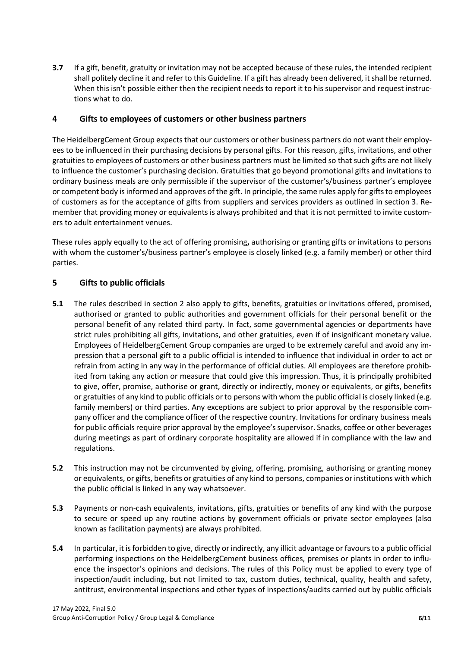**3.7** If a gift, benefit, gratuity or invitation may not be accepted because of these rules, the intended recipient shall politely decline it and refer to this Guideline. If a gift has already been delivered, it shall be returned. When this isn't possible either then the recipient needs to report it to his supervisor and request instructions what to do.

## <span id="page-5-0"></span>**4 Gifts to employees of customers or other business partners**

The HeidelbergCement Group expects that our customers or other business partners do not want their employees to be influenced in their purchasing decisions by personal gifts. For this reason, gifts, invitations, and other gratuities to employees of customers or other business partners must be limited so that such gifts are not likely to influence the customer's purchasing decision. Gratuities that go beyond promotional gifts and invitations to ordinary business meals are only permissible if the supervisor of the customer's/business partner's employee or competent body is informed and approves of the gift. In principle, the same rules apply for gifts to employees of customers as for the acceptance of gifts from suppliers and services providers as outlined in section 3. Remember that providing money or equivalents is always prohibited and that it is not permitted to invite customers to adult entertainment venues.

These rules apply equally to the act of offering promising**,** authorising or granting gifts or invitations to persons with whom the customer's/business partner's employee is closely linked (e.g. a family member) or other third parties.

## <span id="page-5-1"></span>**5 Gifts to public officials**

- **5.1** The rules described in section 2 also apply to gifts, benefits, gratuities or invitations offered, promised, authorised or granted to public authorities and government officials for their personal benefit or the personal benefit of any related third party. In fact, some governmental agencies or departments have strict rules prohibiting all gifts, invitations, and other gratuities, even if of insignificant monetary value. Employees of HeidelbergCement Group companies are urged to be extremely careful and avoid any impression that a personal gift to a public official is intended to influence that individual in order to act or refrain from acting in any way in the performance of official duties. All employees are therefore prohibited from taking any action or measure that could give this impression. Thus, it is principally prohibited to give, offer, promise, authorise or grant, directly or indirectly, money or equivalents, or gifts, benefits or gratuities of any kind to public officials or to persons with whom the public official is closely linked (e.g. family members) or third parties. Any exceptions are subject to prior approval by the responsible company officer and the compliance officer of the respective country. Invitations for ordinary business meals for public officials require prior approval by the employee's supervisor. Snacks, coffee or other beverages during meetings as part of ordinary corporate hospitality are allowed if in compliance with the law and regulations.
- **5.2** This instruction may not be circumvented by giving, offering, promising, authorising or granting money or equivalents, or gifts, benefits or gratuities of any kind to persons, companies or institutions with which the public official is linked in any way whatsoever.
- **5.3** Payments or non-cash equivalents, invitations, gifts, gratuities or benefits of any kind with the purpose to secure or speed up any routine actions by government officials or private sector employees (also known as facilitation payments) are always prohibited.
- **5.4** In particular, it is forbidden to give, directly or indirectly, any illicit advantage or favours to a public official performing inspections on the HeidelbergCement business offices, premises or plants in order to influence the inspector's opinions and decisions. The rules of this Policy must be applied to every type of inspection/audit including, but not limited to tax, custom duties, technical, quality, health and safety, antitrust, environmental inspections and other types of inspections/audits carried out by public officials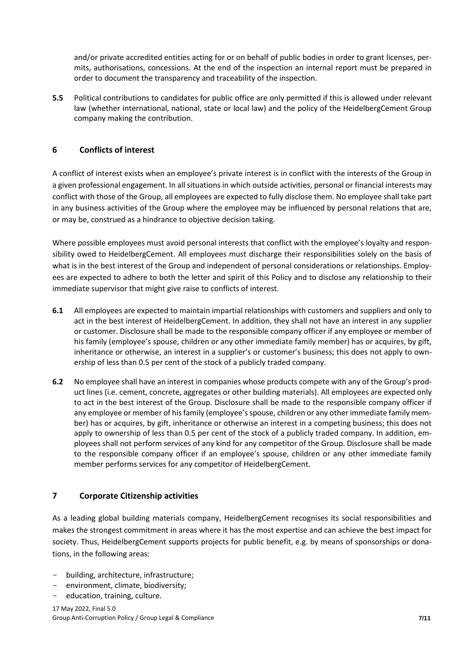and/or private accredited entities acting for or on behalf of public bodies in order to grant licenses, permits, authorisations, concessions. At the end of the inspection an internal report must be prepared in order to document the transparency and traceability of the inspection.

**5.5** Political contributions to candidates for public office are only permitted if this is allowed under relevant law (whether international, national, state or local law) and the policy of the HeidelbergCement Group company making the contribution.

# <span id="page-6-0"></span>**6 Conflicts of interest**

A conflict of interest exists when an employee's private interest is in conflict with the interests of the Group in a given professional engagement. In all situations in which outside activities, personal or financial interests may conflict with those of the Group, all employees are expected to fully disclose them. No employee shall take part in any business activities of the Group where the employee may be influenced by personal relations that are, or may be, construed as a hindrance to objective decision taking.

Where possible employees must avoid personal interests that conflict with the employee's loyalty and responsibility owed to HeidelbergCement. All employees must discharge their responsibilities solely on the basis of what is in the best interest of the Group and independent of personal considerations or relationships. Employees are expected to adhere to both the letter and spirit of this Policy and to disclose any relationship to their immediate supervisor that might give raise to conflicts of interest.

- **6.1** All employees are expected to maintain impartial relationships with customers and suppliers and only to act in the best interest of HeidelbergCement. In addition, they shall not have an interest in any supplier or customer. Disclosure shall be made to the responsible company officer if any employee or member of his family (employee's spouse, children or any other immediate family member) has or acquires, by gift, inheritance or otherwise, an interest in a supplier's or customer's business; this does not apply to ownership of less than 0.5 per cent of the stock of a publicly traded company.
- **6.2** No employee shall have an interest in companies whose products compete with any of the Group's product lines (i.e. cement, concrete, aggregates or other building materials). All employees are expected only to act in the best interest of the Group. Disclosure shall be made to the responsible company officer if any employee or member of his family (employee's spouse, children or any other immediate family member) has or acquires, by gift, inheritance or otherwise an interest in a competing business; this does not apply to ownership of less than 0.5 per cent of the stock of a publicly traded company. In addition, employees shall not perform services of any kind for any competitor of the Group. Disclosure shall be made to the responsible company officer if an employee's spouse, children or any other immediate family member performs services for any competitor of HeidelbergCement.

# <span id="page-6-1"></span>**7 Corporate Citizenship activities**

As a leading global building materials company, HeidelbergCement recognises its social responsibilities and makes the strongest commitment in areas where it has the most expertise and can achieve the best impact for society. Thus, HeidelbergCement supports projects for public benefit, e.g. by means of sponsorships or donations, in the following areas:

- building, architecture, infrastructure;
- environment, climate, biodiversity;
- education, training, culture.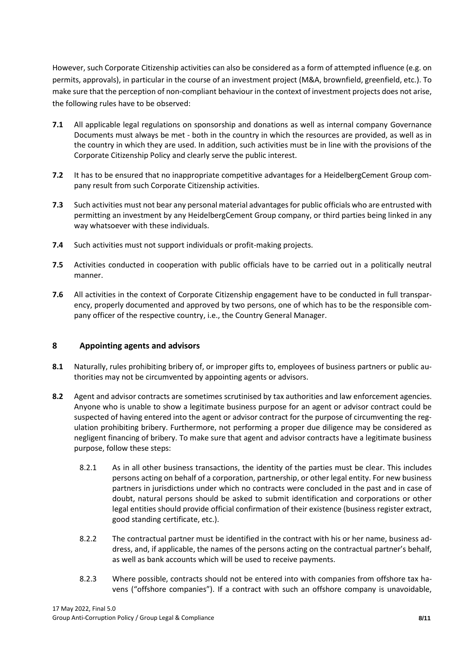However, such Corporate Citizenship activities can also be considered as a form of attempted influence (e.g. on permits, approvals), in particular in the course of an investment project (M&A, brownfield, greenfield, etc.). To make sure that the perception of non-compliant behaviour in the context of investment projects does not arise, the following rules have to be observed:

- **7.1** All applicable legal regulations on sponsorship and donations as well as internal company Governance Documents must always be met - both in the country in which the resources are provided, as well as in the country in which they are used. In addition, such activities must be in line with the provisions of the Corporate Citizenship Policy and clearly serve the public interest.
- **7.2** It has to be ensured that no inappropriate competitive advantages for a HeidelbergCement Group company result from such Corporate Citizenship activities.
- **7.3** Such activities must not bear any personal material advantages for public officials who are entrusted with permitting an investment by any HeidelbergCement Group company, or third parties being linked in any way whatsoever with these individuals.
- **7.4** Such activities must not support individuals or profit-making projects.
- **7.5** Activities conducted in cooperation with public officials have to be carried out in a politically neutral manner.
- **7.6** All activities in the context of Corporate Citizenship engagement have to be conducted in full transparency, properly documented and approved by two persons, one of which has to be the responsible company officer of the respective country, i.e., the Country General Manager.

#### <span id="page-7-0"></span>**8 Appointing agents and advisors**

- **8.1** Naturally, rules prohibiting bribery of, or improper gifts to, employees of business partners or public authorities may not be circumvented by appointing agents or advisors.
- **8.2** Agent and advisor contracts are sometimes scrutinised by tax authorities and law enforcement agencies. Anyone who is unable to show a legitimate business purpose for an agent or advisor contract could be suspected of having entered into the agent or advisor contract for the purpose of circumventing the regulation prohibiting bribery. Furthermore, not performing a proper due diligence may be considered as negligent financing of bribery. To make sure that agent and advisor contracts have a legitimate business purpose, follow these steps:
	- 8.2.1 As in all other business transactions, the identity of the parties must be clear. This includes persons acting on behalf of a corporation, partnership, or other legal entity. For new business partners in jurisdictions under which no contracts were concluded in the past and in case of doubt, natural persons should be asked to submit identification and corporations or other legal entities should provide official confirmation of their existence (business register extract, good standing certificate, etc.).
	- 8.2.2 The contractual partner must be identified in the contract with his or her name, business address, and, if applicable, the names of the persons acting on the contractual partner's behalf, as well as bank accounts which will be used to receive payments.
	- 8.2.3 Where possible, contracts should not be entered into with companies from offshore tax havens ("offshore companies"). If a contract with such an offshore company is unavoidable,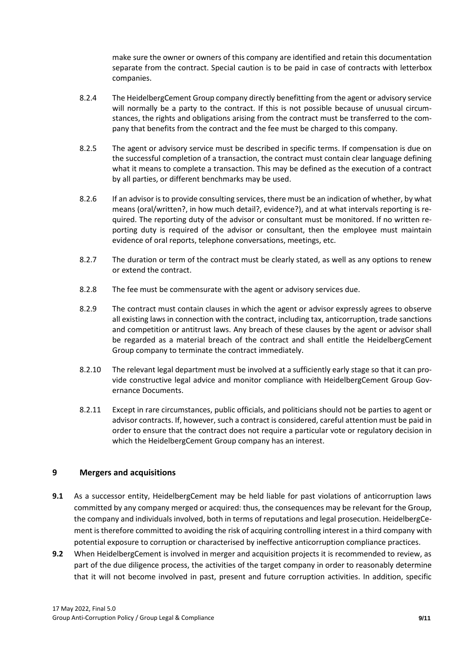make sure the owner or owners of this company are identified and retain this documentation separate from the contract. Special caution is to be paid in case of contracts with letterbox companies.

- 8.2.4 The HeidelbergCement Group company directly benefitting from the agent or advisory service will normally be a party to the contract. If this is not possible because of unusual circumstances, the rights and obligations arising from the contract must be transferred to the company that benefits from the contract and the fee must be charged to this company.
- 8.2.5 The agent or advisory service must be described in specific terms. If compensation is due on the successful completion of a transaction, the contract must contain clear language defining what it means to complete a transaction. This may be defined as the execution of a contract by all parties, or different benchmarks may be used.
- 8.2.6 If an advisor is to provide consulting services, there must be an indication of whether, by what means (oral/written?, in how much detail?, evidence?), and at what intervals reporting is required. The reporting duty of the advisor or consultant must be monitored. If no written reporting duty is required of the advisor or consultant, then the employee must maintain evidence of oral reports, telephone conversations, meetings, etc.
- 8.2.7 The duration or term of the contract must be clearly stated, as well as any options to renew or extend the contract.
- 8.2.8 The fee must be commensurate with the agent or advisory services due.
- 8.2.9 The contract must contain clauses in which the agent or advisor expressly agrees to observe all existing laws in connection with the contract, including tax, anticorruption, trade sanctions and competition or antitrust laws. Any breach of these clauses by the agent or advisor shall be regarded as a material breach of the contract and shall entitle the HeidelbergCement Group company to terminate the contract immediately.
- 8.2.10 The relevant legal department must be involved at a sufficiently early stage so that it can provide constructive legal advice and monitor compliance with HeidelbergCement Group Governance Documents.
- 8.2.11 Except in rare circumstances, public officials, and politicians should not be parties to agent or advisor contracts. If, however, such a contract is considered, careful attention must be paid in order to ensure that the contract does not require a particular vote or regulatory decision in which the HeidelbergCement Group company has an interest.

#### <span id="page-8-0"></span>**9 Mergers and acquisitions**

- **9.1** As a successor entity, HeidelbergCement may be held liable for past violations of anticorruption laws committed by any company merged or acquired: thus, the consequences may be relevant for the Group, the company and individuals involved, both in terms of reputations and legal prosecution. HeidelbergCement is therefore committed to avoiding the risk of acquiring controlling interest in a third company with potential exposure to corruption or characterised by ineffective anticorruption compliance practices.
- **9.2** When HeidelbergCement is involved in merger and acquisition projects it is recommended to review, as part of the due diligence process, the activities of the target company in order to reasonably determine that it will not become involved in past, present and future corruption activities. In addition, specific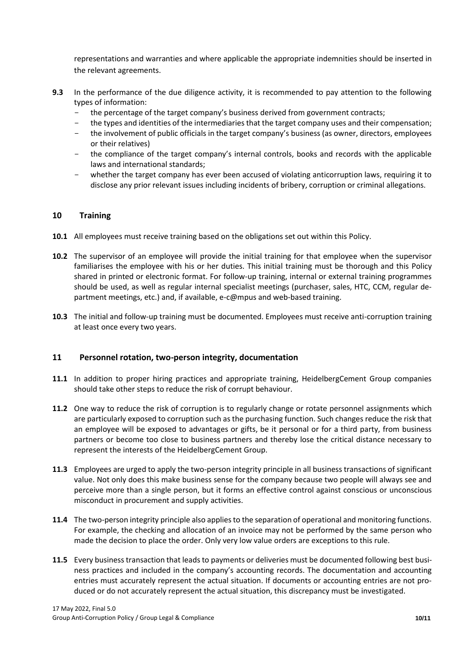representations and warranties and where applicable the appropriate indemnities should be inserted in the relevant agreements.

- **9.3** In the performance of the due diligence activity, it is recommended to pay attention to the following types of information:
	- the percentage of the target company's business derived from government contracts;
	- the types and identities of the intermediaries that the target company uses and their compensation;
	- the involvement of public officials in the target company's business (as owner, directors, employees or their relatives)
	- the compliance of the target company's internal controls, books and records with the applicable laws and international standards;
	- whether the target company has ever been accused of violating anticorruption laws, requiring it to disclose any prior relevant issues including incidents of bribery, corruption or criminal allegations.

#### <span id="page-9-0"></span>**10 Training**

- **10.1** All employees must receive training based on the obligations set out within this Policy.
- **10.2** The supervisor of an employee will provide the initial training for that employee when the supervisor familiarises the employee with his or her duties. This initial training must be thorough and this Policy shared in printed or electronic format. For follow-up training, internal or external training programmes should be used, as well as regular internal specialist meetings (purchaser, sales, HTC, CCM, regular department meetings, etc.) and, if available, e-c@mpus and web-based training.
- **10.3** The initial and follow-up training must be documented. Employees must receive anti-corruption training at least once every two years.

#### <span id="page-9-1"></span>**11 Personnel rotation, two-person integrity, documentation**

- **11.1** In addition to proper hiring practices and appropriate training, HeidelbergCement Group companies should take other steps to reduce the risk of corrupt behaviour.
- **11.2** One way to reduce the risk of corruption is to regularly change or rotate personnel assignments which are particularly exposed to corruption such as the purchasing function. Such changes reduce the risk that an employee will be exposed to advantages or gifts, be it personal or for a third party, from business partners or become too close to business partners and thereby lose the critical distance necessary to represent the interests of the HeidelbergCement Group.
- **11.3** Employees are urged to apply the two-person integrity principle in all business transactions of significant value. Not only does this make business sense for the company because two people will always see and perceive more than a single person, but it forms an effective control against conscious or unconscious misconduct in procurement and supply activities.
- **11.4** The two-person integrity principle also applies to the separation of operational and monitoring functions. For example, the checking and allocation of an invoice may not be performed by the same person who made the decision to place the order. Only very low value orders are exceptions to this rule.
- **11.5** Every business transaction that leads to payments or deliveries must be documented following best business practices and included in the company's accounting records. The documentation and accounting entries must accurately represent the actual situation. If documents or accounting entries are not produced or do not accurately represent the actual situation, this discrepancy must be investigated.